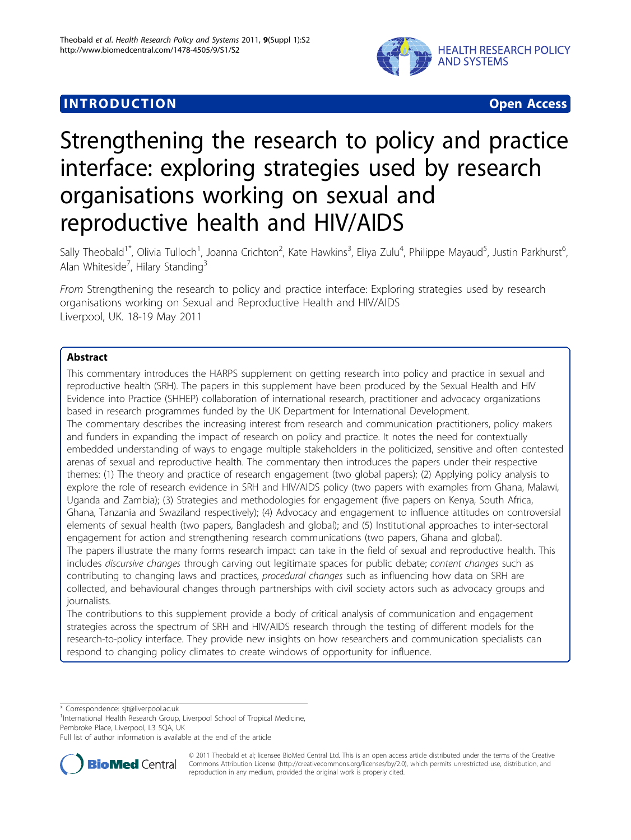

# In the control of the control of the control of the control of the control of the control of the control of th<br>In the control of the control of the control of the control of the control of the control of the control of th

# Strengthening the research to policy and practice interface: exploring strategies used by research organisations working on sexual and reproductive health and HIV/AIDS

Sally Theobald<sup>1\*</sup>, Olivia Tulloch<sup>1</sup>, Joanna Crichton<sup>2</sup>, Kate Hawkins<sup>3</sup>, Eliya Zulu<sup>4</sup>, Philippe Mayaud<sup>5</sup>, Justin Parkhurst<sup>6</sup> י<br>, Alan Whiteside<sup>7</sup>, Hilary Standing<sup>3</sup>

From Strengthening the research to policy and practice interface: Exploring strategies used by research organisations working on Sexual and Reproductive Health and HIV/AIDS Liverpool, UK. 18-19 May 2011

# **Abstract**

Abstract This commentary introduces the HARPS supplement on getting research into policy and practice in sexual and reproductive health (SRH). The papers in this supplement have been produced by the Sexual Health and HIV Evidence into Practice (SHHEP) collaboration of international research, practitioner and advocacy organizations based in research programmes funded by the UK Department for International Development. The commentary describes the increasing interest from research and communication practitioners, policy makers and funders in expanding the impact of research on policy and practice. It notes the need for contextually embedded understanding of ways to engage multiple stakeholders in the politicized, sensitive and often contested arenas of sexual and reproductive health. The commentary then introduces the papers under their respective themes: (1) The theory and practice of research engagement (two global papers); (2) Applying policy analysis to explore the role of research evidence in SRH and HIV/AIDS policy (two papers with examples from Ghana, Malawi, Uganda and Zambia); (3) Strategies and methodologies for engagement (five papers on Kenya, South Africa, Ghana, Tanzania and Swaziland respectively); (4) Advocacy and engagement to influence attitudes on controversial elements of sexual health (two papers, Bangladesh and global); and (5) Institutional approaches to inter-sectoral engagement for action and strengthening research communications (two papers, Ghana and global). The papers illustrate the many forms research impact can take in the field of sexual and reproductive health. This includes discursive changes through carving out legitimate spaces for public debate; content changes such as contributing to changing laws and practices, procedural changes such as influencing how data on SRH are collected, and behavioural changes through partnerships with civil society actors such as advocacy groups and journalists.

The contributions to this supplement provide a body of critical analysis of communication and engagement strategies across the spectrum of SRH and HIV/AIDS research through the testing of different models for the research-to-policy interface. They provide new insights on how researchers and communication specialists can respond to changing policy climates to create windows of opportunity for influence.

\* Correspondence: [sjt@liverpool.ac.uk](mailto:sjt@liverpool.ac.uk)

<sup>1</sup>International Health Research Group, Liverpool School of Tropical Medicine, Pembroke Place, Liverpool, L3 5QA, UK

Full list of author information is available at the end of the article



© 2011 Theobald et al; licensee BioMed Central Ltd. This is an open access article distributed under the terms of the Creative Commons Attribution License [\(http://creativecommons.org/licenses/by/2.0](http://creativecommons.org/licenses/by/2.0)), which permits unrestricted use, distribution, and reproduction in any medium, provided the original work is properly cited.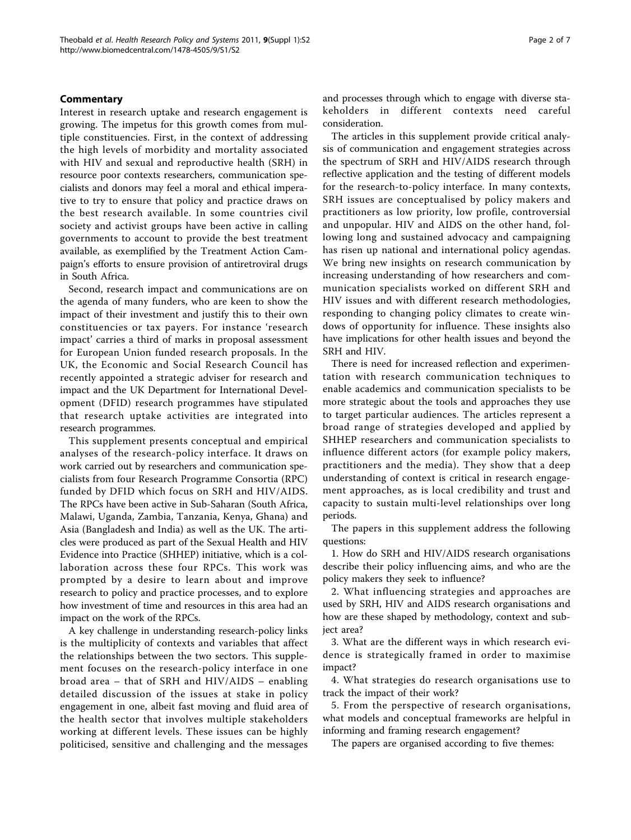Interest in research uptake and research engagement is growing. The impetus for this growth comes from multiple constituencies. First, in the context of addressing the high levels of morbidity and mortality associated with HIV and sexual and reproductive health (SRH) in resource poor contexts researchers, communication specialists and donors may feel a moral and ethical imperative to try to ensure that policy and practice draws on the best research available. In some countries civil society and activist groups have been active in calling governments to account to provide the best treatment available, as exemplified by the Treatment Action Campaign's efforts to ensure provision of antiretroviral drugs in South Africa.

Second, research impact and communications are on the agenda of many funders, who are keen to show the impact of their investment and justify this to their own constituencies or tax payers. For instance 'research impact' carries a third of marks in proposal assessment for European Union funded research proposals. In the UK, the Economic and Social Research Council has recently appointed a strategic adviser for research and impact and the UK Department for International Development (DFID) research programmes have stipulated that research uptake activities are integrated into research programmes.

This supplement presents conceptual and empirical analyses of the research-policy interface. It draws on work carried out by researchers and communication specialists from four Research Programme Consortia (RPC) funded by DFID which focus on SRH and HIV/AIDS. The RPCs have been active in Sub-Saharan (South Africa, Malawi, Uganda, Zambia, Tanzania, Kenya, Ghana) and Asia (Bangladesh and India) as well as the UK. The articles were produced as part of the Sexual Health and HIV Evidence into Practice (SHHEP) initiative, which is a collaboration across these four RPCs. This work was prompted by a desire to learn about and improve research to policy and practice processes, and to explore how investment of time and resources in this area had an impact on the work of the RPCs.

A key challenge in understanding research-policy links is the multiplicity of contexts and variables that affect the relationships between the two sectors. This supplement focuses on the research-policy interface in one broad area – that of SRH and HIV/AIDS – enabling detailed discussion of the issues at stake in policy engagement in one, albeit fast moving and fluid area of the health sector that involves multiple stakeholders working at different levels. These issues can be highly politicised, sensitive and challenging and the messages

and processes through which to engage with diverse stakeholders in different contexts need careful consideration.

The articles in this supplement provide critical analysis of communication and engagement strategies across the spectrum of SRH and HIV/AIDS research through reflective application and the testing of different models for the research-to-policy interface. In many contexts, SRH issues are conceptualised by policy makers and practitioners as low priority, low profile, controversial and unpopular. HIV and AIDS on the other hand, following long and sustained advocacy and campaigning has risen up national and international policy agendas. We bring new insights on research communication by increasing understanding of how researchers and communication specialists worked on different SRH and HIV issues and with different research methodologies, responding to changing policy climates to create windows of opportunity for influence. These insights also have implications for other health issues and beyond the SRH and HIV.

There is need for increased reflection and experimentation with research communication techniques to enable academics and communication specialists to be more strategic about the tools and approaches they use to target particular audiences. The articles represent a broad range of strategies developed and applied by SHHEP researchers and communication specialists to influence different actors (for example policy makers, practitioners and the media). They show that a deep understanding of context is critical in research engagement approaches, as is local credibility and trust and capacity to sustain multi-level relationships over long periods.

The papers in this supplement address the following questions:

1. How do SRH and HIV/AIDS research organisations describe their policy influencing aims, and who are the policy makers they seek to influence?

2. What influencing strategies and approaches are used by SRH, HIV and AIDS research organisations and how are these shaped by methodology, context and subject area?

3. What are the different ways in which research evidence is strategically framed in order to maximise impact?

4. What strategies do research organisations use to track the impact of their work?

5. From the perspective of research organisations, what models and conceptual frameworks are helpful in informing and framing research engagement?

The papers are organised according to five themes: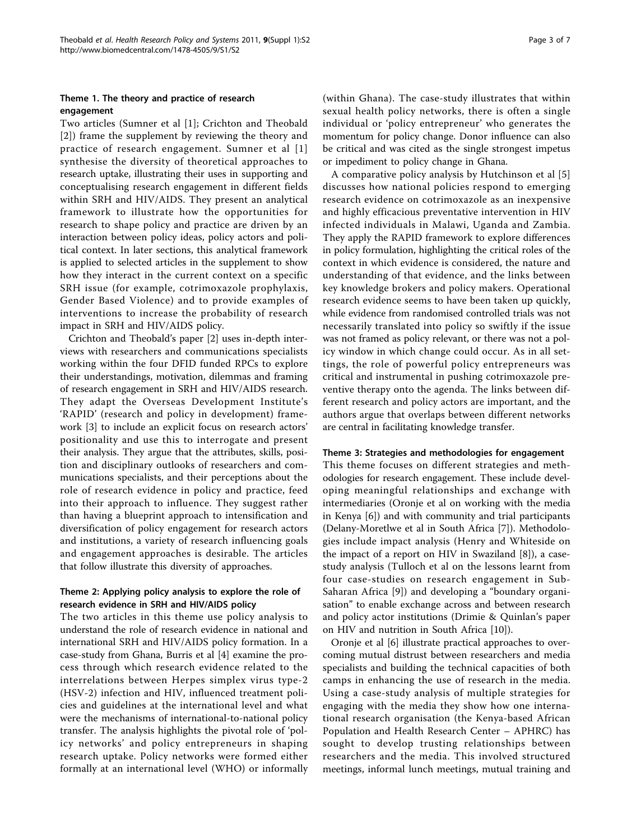## Theme 1. The theory and practice of research engagement

Two articles (Sumner et al [\[1](#page-5-0)]; Crichton and Theobald [[2](#page-5-0)]) frame the supplement by reviewing the theory and practice of research engagement. Sumner et al [[1](#page-5-0)] synthesise the diversity of theoretical approaches to research uptake, illustrating their uses in supporting and conceptualising research engagement in different fields within SRH and HIV/AIDS. They present an analytical framework to illustrate how the opportunities for research to shape policy and practice are driven by an interaction between policy ideas, policy actors and political context. In later sections, this analytical framework is applied to selected articles in the supplement to show how they interact in the current context on a specific SRH issue (for example, cotrimoxazole prophylaxis, Gender Based Violence) and to provide examples of interventions to increase the probability of research impact in SRH and HIV/AIDS policy.

Crichton and Theobald's paper [\[2](#page-5-0)] uses in-depth interviews with researchers and communications specialists working within the four DFID funded RPCs to explore their understandings, motivation, dilemmas and framing of research engagement in SRH and HIV/AIDS research. They adapt the Overseas Development Institute's 'RAPID' (research and policy in development) framework [[3\]](#page-5-0) to include an explicit focus on research actors' positionality and use this to interrogate and present their analysis. They argue that the attributes, skills, position and disciplinary outlooks of researchers and communications specialists, and their perceptions about the role of research evidence in policy and practice, feed into their approach to influence. They suggest rather than having a blueprint approach to intensification and diversification of policy engagement for research actors and institutions, a variety of research influencing goals and engagement approaches is desirable. The articles that follow illustrate this diversity of approaches.

## Theme 2: Applying policy analysis to explore the role of research evidence in SRH and HIV/AIDS policy

The two articles in this theme use policy analysis to understand the role of research evidence in national and international SRH and HIV/AIDS policy formation. In a case-study from Ghana, Burris et al [[4\]](#page-5-0) examine the process through which research evidence related to the interrelations between Herpes simplex virus type-2 (HSV-2) infection and HIV, influenced treatment policies and guidelines at the international level and what were the mechanisms of international-to-national policy transfer. The analysis highlights the pivotal role of 'policy networks' and policy entrepreneurs in shaping research uptake. Policy networks were formed either formally at an international level (WHO) or informally (within Ghana). The case-study illustrates that within sexual health policy networks, there is often a single individual or 'policy entrepreneur' who generates the momentum for policy change. Donor influence can also be critical and was cited as the single strongest impetus or impediment to policy change in Ghana.

A comparative policy analysis by Hutchinson et al [\[5](#page-5-0)] discusses how national policies respond to emerging research evidence on cotrimoxazole as an inexpensive and highly efficacious preventative intervention in HIV infected individuals in Malawi, Uganda and Zambia. They apply the RAPID framework to explore differences in policy formulation, highlighting the critical roles of the context in which evidence is considered, the nature and understanding of that evidence, and the links between key knowledge brokers and policy makers. Operational research evidence seems to have been taken up quickly, while evidence from randomised controlled trials was not necessarily translated into policy so swiftly if the issue was not framed as policy relevant, or there was not a policy window in which change could occur. As in all settings, the role of powerful policy entrepreneurs was critical and instrumental in pushing cotrimoxazole preventive therapy onto the agenda. The links between different research and policy actors are important, and the authors argue that overlaps between different networks are central in facilitating knowledge transfer.

## Theme 3: Strategies and methodologies for engagement

This theme focuses on different strategies and methodologies for research engagement. These include developing meaningful relationships and exchange with intermediaries (Oronje et al on working with the media in Kenya [[6\]](#page-5-0)) and with community and trial participants (Delany-Moretlwe et al in South Africa [\[7](#page-5-0)]). Methodologies include impact analysis (Henry and Whiteside on the impact of a report on HIV in Swaziland [\[8](#page-5-0)]), a casestudy analysis (Tulloch et al on the lessons learnt from four case-studies on research engagement in Sub-Saharan Africa [\[9](#page-5-0)]) and developing a "boundary organisation" to enable exchange across and between research and policy actor institutions (Drimie & Quinlan's paper on HIV and nutrition in South Africa [\[10\]](#page-6-0)).

Oronje et al [[6\]](#page-5-0) illustrate practical approaches to overcoming mutual distrust between researchers and media specialists and building the technical capacities of both camps in enhancing the use of research in the media. Using a case-study analysis of multiple strategies for engaging with the media they show how one international research organisation (the Kenya-based African Population and Health Research Center – APHRC) has sought to develop trusting relationships between researchers and the media. This involved structured meetings, informal lunch meetings, mutual training and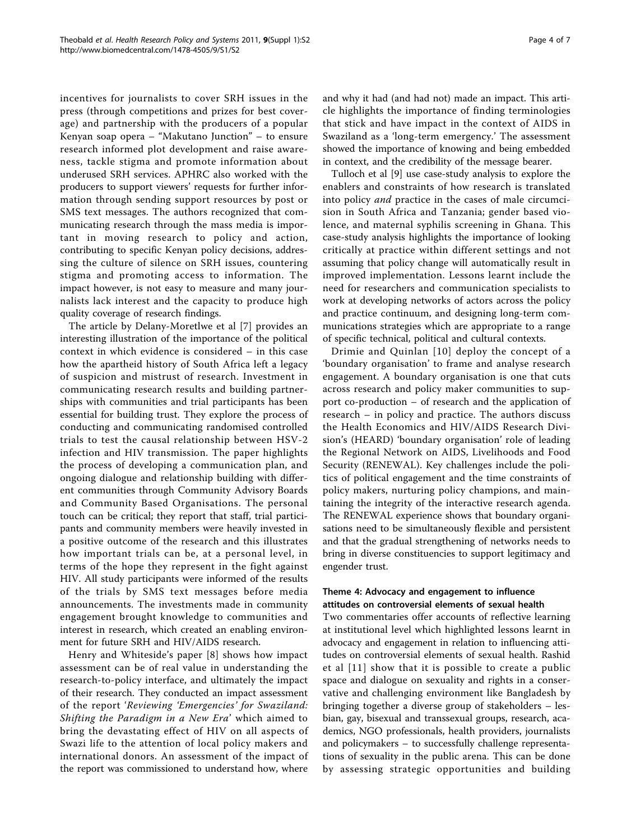incentives for journalists to cover SRH issues in the press (through competitions and prizes for best coverage) and partnership with the producers of a popular Kenyan soap opera – "Makutano Junction" – to ensure research informed plot development and raise awareness, tackle stigma and promote information about underused SRH services. APHRC also worked with the producers to support viewers' requests for further information through sending support resources by post or SMS text messages. The authors recognized that communicating research through the mass media is important in moving research to policy and action, contributing to specific Kenyan policy decisions, addressing the culture of silence on SRH issues, countering stigma and promoting access to information. The impact however, is not easy to measure and many journalists lack interest and the capacity to produce high quality coverage of research findings.

The article by Delany-Moretlwe et al [[7\]](#page-5-0) provides an interesting illustration of the importance of the political context in which evidence is considered – in this case how the apartheid history of South Africa left a legacy of suspicion and mistrust of research. Investment in communicating research results and building partnerships with communities and trial participants has been essential for building trust. They explore the process of conducting and communicating randomised controlled trials to test the causal relationship between HSV-2 infection and HIV transmission. The paper highlights the process of developing a communication plan, and ongoing dialogue and relationship building with different communities through Community Advisory Boards and Community Based Organisations. The personal touch can be critical; they report that staff, trial participants and community members were heavily invested in a positive outcome of the research and this illustrates how important trials can be, at a personal level, in terms of the hope they represent in the fight against HIV. All study participants were informed of the results of the trials by SMS text messages before media announcements. The investments made in community engagement brought knowledge to communities and interest in research, which created an enabling environment for future SRH and HIV/AIDS research.

Henry and Whiteside's paper [\[8](#page-5-0)] shows how impact assessment can be of real value in understanding the research-to-policy interface, and ultimately the impact of their research. They conducted an impact assessment of the report 'Reviewing 'Emergencies' for Swaziland: Shifting the Paradigm in a New Era' which aimed to bring the devastating effect of HIV on all aspects of Swazi life to the attention of local policy makers and international donors. An assessment of the impact of the report was commissioned to understand how, where and why it had (and had not) made an impact. This article highlights the importance of finding terminologies that stick and have impact in the context of AIDS in Swaziland as a 'long-term emergency.' The assessment showed the importance of knowing and being embedded in context, and the credibility of the message bearer.

Tulloch et al [\[9](#page-5-0)] use case-study analysis to explore the enablers and constraints of how research is translated into policy and practice in the cases of male circumcision in South Africa and Tanzania; gender based violence, and maternal syphilis screening in Ghana. This case-study analysis highlights the importance of looking critically at practice within different settings and not assuming that policy change will automatically result in improved implementation. Lessons learnt include the need for researchers and communication specialists to work at developing networks of actors across the policy and practice continuum, and designing long-term communications strategies which are appropriate to a range of specific technical, political and cultural contexts.

Drimie and Quinlan [[10](#page-6-0)] deploy the concept of a 'boundary organisation' to frame and analyse research engagement. A boundary organisation is one that cuts across research and policy maker communities to support co-production – of research and the application of research – in policy and practice. The authors discuss the Health Economics and HIV/AIDS Research Division's (HEARD) 'boundary organisation' role of leading the Regional Network on AIDS, Livelihoods and Food Security (RENEWAL). Key challenges include the politics of political engagement and the time constraints of policy makers, nurturing policy champions, and maintaining the integrity of the interactive research agenda. The RENEWAL experience shows that boundary organisations need to be simultaneously flexible and persistent and that the gradual strengthening of networks needs to bring in diverse constituencies to support legitimacy and engender trust.

## Theme 4: Advocacy and engagement to influence attitudes on controversial elements of sexual health

Two commentaries offer accounts of reflective learning at institutional level which highlighted lessons learnt in advocacy and engagement in relation to influencing attitudes on controversial elements of sexual health. Rashid et al [[11\]](#page-6-0) show that it is possible to create a public space and dialogue on sexuality and rights in a conservative and challenging environment like Bangladesh by bringing together a diverse group of stakeholders – lesbian, gay, bisexual and transsexual groups, research, academics, NGO professionals, health providers, journalists and policymakers – to successfully challenge representations of sexuality in the public arena. This can be done by assessing strategic opportunities and building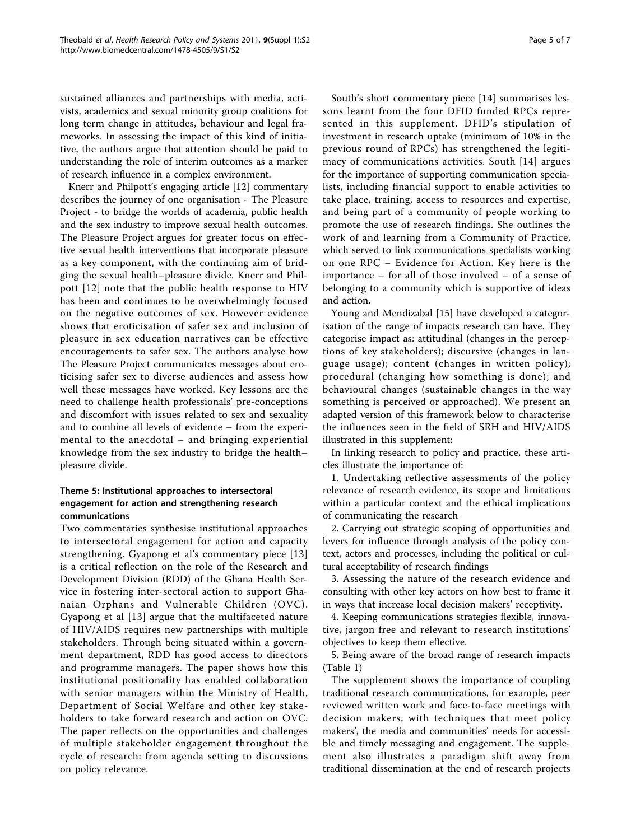sustained alliances and partnerships with media, activists, academics and sexual minority group coalitions for long term change in attitudes, behaviour and legal frameworks. In assessing the impact of this kind of initiative, the authors argue that attention should be paid to understanding the role of interim outcomes as a marker of research influence in a complex environment.

Knerr and Philpott's engaging article [[12\]](#page-5-0) commentary describes the journey of one organisation - The Pleasure Project - to bridge the worlds of academia, public health and the sex industry to improve sexual health outcomes. The Pleasure Project argues for greater focus on effective sexual health interventions that incorporate pleasure as a key component, with the continuing aim of bridging the sexual health–pleasure divide. Knerr and Philpott [\[12\]](#page-6-0) note that the public health response to HIV has been and continues to be overwhelmingly focused on the negative outcomes of sex. However evidence shows that eroticisation of safer sex and inclusion of pleasure in sex education narratives can be effective encouragements to safer sex. The authors analyse how The Pleasure Project communicates messages about eroticising safer sex to diverse audiences and assess how well these messages have worked. Key lessons are the need to challenge health professionals' pre-conceptions and discomfort with issues related to sex and sexuality and to combine all levels of evidence – from the experimental to the anecdotal – and bringing experiential knowledge from the sex industry to bridge the health– pleasure divide.

## Theme 5: Institutional approaches to intersectoral engagement for action and strengthening research communications

Two commentaries synthesise institutional approaches to intersectoral engagement for action and capacity strengthening. Gyapong et al's commentary piece [[13](#page-6-0)] is a critical reflection on the role of the Research and Development Division (RDD) of the Ghana Health Service in fostering inter-sectoral action to support Ghanaian Orphans and Vulnerable Children (OVC). Gyapong et al [\[13](#page-6-0)] argue that the multifaceted nature of HIV/AIDS requires new partnerships with multiple stakeholders. Through being situated within a government department, RDD has good access to directors and programme managers. The paper shows how this institutional positionality has enabled collaboration with senior managers within the Ministry of Health, Department of Social Welfare and other key stakeholders to take forward research and action on OVC. The paper reflects on the opportunities and challenges of multiple stakeholder engagement throughout the cycle of research: from agenda setting to discussions on policy relevance.

South's short commentary piece [[14\]](#page-6-0) summarises lessons learnt from the four DFID funded RPCs represented in this supplement. DFID's stipulation of investment in research uptake (minimum of 10% in the previous round of RPCs) has strengthened the legitimacy of communications activities. South [[14](#page-6-0)] argues for the importance of supporting communication specialists, including financial support to enable activities to take place, training, access to resources and expertise, and being part of a community of people working to promote the use of research findings. She outlines the work of and learning from a Community of Practice, which served to link communications specialists working on one RPC – Evidence for Action. Key here is the importance – for all of those involved – of a sense of belonging to a community which is supportive of ideas and action.

Young and Mendizabal [[15\]](#page-6-0) have developed a categorisation of the range of impacts research can have. They categorise impact as: attitudinal (changes in the perceptions of key stakeholders); discursive (changes in language usage); content (changes in written policy); procedural (changing how something is done); and behavioural changes (sustainable changes in the way something is perceived or approached). We present an adapted version of this framework below to characterise the influences seen in the field of SRH and HIV/AIDS illustrated in this supplement:

In linking research to policy and practice, these articles illustrate the importance of:

1. Undertaking reflective assessments of the policy relevance of research evidence, its scope and limitations within a particular context and the ethical implications of communicating the research

2. Carrying out strategic scoping of opportunities and levers for influence through analysis of the policy context, actors and processes, including the political or cultural acceptability of research findings

3. Assessing the nature of the research evidence and consulting with other key actors on how best to frame it in ways that increase local decision makers' receptivity.

4. Keeping communications strategies flexible, innovative, jargon free and relevant to research institutions' objectives to keep them effective.

5. Being aware of the broad range of research impacts (Table [1\)](#page-5-0)

The supplement shows the importance of coupling traditional research communications, for example, peer reviewed written work and face-to-face meetings with decision makers, with techniques that meet policy makers', the media and communities' needs for accessible and timely messaging and engagement. The supplement also illustrates a paradigm shift away from traditional dissemination at the end of research projects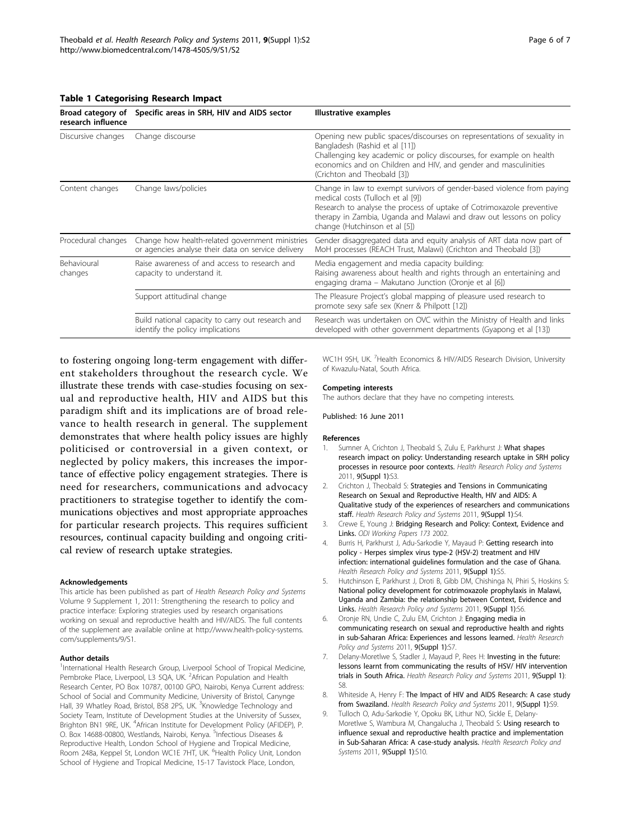<span id="page-5-0"></span>

| Broad category of<br>research influence | Specific areas in SRH, HIV and AIDS sector                                                            | Illustrative examples                                                                                                                                                                                                                                                                        |
|-----------------------------------------|-------------------------------------------------------------------------------------------------------|----------------------------------------------------------------------------------------------------------------------------------------------------------------------------------------------------------------------------------------------------------------------------------------------|
| Discursive changes                      | Change discourse                                                                                      | Opening new public spaces/discourses on representations of sexuality in<br>Bangladesh (Rashid et al [11])<br>Challenging key academic or policy discourses, for example on health<br>economics and on Children and HIV, and gender and masculinities<br>(Crichton and Theobald [3])          |
| Content changes                         | Change laws/policies                                                                                  | Change in law to exempt survivors of gender-based violence from paying<br>medical costs (Tulloch et al [9])<br>Research to analyse the process of uptake of Cotrimoxazole preventive<br>therapy in Zambia, Uganda and Malawi and draw out lessons on policy<br>change (Hutchinson et al [5]) |
| Procedural changes                      | Change how health-related government ministries<br>or agencies analyse their data on service delivery | Gender disaggregated data and equity analysis of ART data now part of<br>MoH processes (REACH Trust, Malawi) (Crichton and Theobald [3])                                                                                                                                                     |
| Behavioural<br>changes                  | Raise awareness of and access to research and<br>capacity to understand it.                           | Media engagement and media capacity building:<br>Raising awareness about health and rights through an entertaining and<br>engaging drama – Makutano Junction (Oronje et al [6])                                                                                                              |
|                                         | Support attitudinal change                                                                            | The Pleasure Project's global mapping of pleasure used research to<br>promote sexy safe sex (Knerr & Philpott [12])                                                                                                                                                                          |
|                                         | Build national capacity to carry out research and<br>identify the policy implications                 | Research was undertaken on OVC within the Ministry of Health and links<br>developed with other government departments (Gyapong et al [13])                                                                                                                                                   |

to fostering ongoing long-term engagement with different stakeholders throughout the research cycle. We illustrate these trends with case-studies focusing on sexual and reproductive health, HIV and AIDS but this paradigm shift and its implications are of broad relevance to health research in general. The supplement demonstrates that where health policy issues are highly politicised or controversial in a given context, or neglected by policy makers, this increases the importance of effective policy engagement strategies. There is need for researchers, communications and advocacy practitioners to strategise together to identify the communications objectives and most appropriate approaches for particular research projects. This requires sufficient resources, continual capacity building and ongoing critical review of research uptake strategies.

### Acknowledgements

This article has been published as part of Health Research Policy and Systems Volume 9 Supplement 1, 2011: Strengthening the research to policy and practice interface: Exploring strategies used by research organisations working on sexual and reproductive health and HIV/AIDS. The full contents of the supplement are available online at [http://www.health-policy-systems.](http://www.health-policy-systems.com/supplements/9/S1) [com/supplements/9/S1.](http://www.health-policy-systems.com/supplements/9/S1)

### Author details

<sup>1</sup>International Health Research Group, Liverpool School of Tropical Medicine, Pembroke Place, Liverpool, L3 5QA, UK. <sup>2</sup>African Population and Health Research Center, PO Box 10787, 00100 GPO, Nairobi, Kenya Current address: School of Social and Community Medicine, University of Bristol, Canynge Hall, 39 Whatley Road, Bristol, BS8 2PS, UK. <sup>3</sup>Knowledge Technology and Society Team, Institute of Development Studies at the University of Sussex, Brighton BN1 9RE, UK. <sup>4</sup>African Institute for Development Policy (AFIDEP), P. O. Box 14688-00800, Westlands, Nairobi, Kenya. <sup>5</sup>Infectious Diseases & Reproductive Health, London School of Hygiene and Tropical Medicine, Room 248a, Keppel St, London WC1E 7HT, UK. <sup>6</sup>Health Policy Unit, London School of Hygiene and Tropical Medicine, 15-17 Tavistock Place, London,

WC1H 9SH, UK. <sup>7</sup>Health Economics & HIV/AIDS Research Division, University of Kwazulu-Natal, South Africa.

## Competing interests

The authors declare that they have no competing interests.

## Published: 16 June 2011

#### References

- 1. Sumner A, Crichton J, Theobald S, Zulu E, Parkhurst J: What shapes research impact on policy: Understanding research uptake in SRH policy processes in resource poor contexts. Health Research Policy and Systems 2011, 9(Suppl 1):S3.
- 2. Crichton J, Theobald S: Strategies and Tensions in Communicating Research on Sexual and Reproductive Health, HIV and AIDS: A Qualitative study of the experiences of researchers and communications staff. Health Research Policy and Systems 2011, 9(Suppl 1):S4.
- 3. Crewe E, Young J: Bridging Research and Policy: Context, Evidence and Links. ODI Working Papers 173 2002.
- 4. Burris H, Parkhurst J, Adu-Sarkodie Y, Mayaud P: Getting research into policy - Herpes simplex virus type-2 (HSV-2) treatment and HIV infection: international guidelines formulation and the case of Ghana. Health Research Policy and Systems 2011, 9(Suppl 1):S5.
- 5. Hutchinson E, Parkhurst J, Droti B, Gibb DM, Chishinga N, Phiri S, Hoskins S: National policy development for cotrimoxazole prophylaxis in Malawi, Uganda and Zambia: the relationship between Context, Evidence and Links. Health Research Policy and Systems 2011, 9(Suppl 1):S6.
- 6. Oronje RN, Undie C, Zulu EM, Crichton J: Engaging media in communicating research on sexual and reproductive health and rights in sub-Saharan Africa: Experiences and lessons learned. Health Research Policy and Systems 2011, 9(Suppl 1):S7.
- 7. Delany-Moretlwe S, Stadler J, Mayaud P, Rees H: Investing in the future: lessons learnt from communicating the results of HSV/ HIV intervention trials in South Africa. Health Research Policy and Systems 2011, 9(Suppl 1): S8.
- 8. Whiteside A, Henry F: The Impact of HIV and AIDS Research: A case study from Swaziland. Health Research Policy and Systems 2011, 9(Suppl 1):S9.
- 9. Tulloch O, Adu-Sarkodie Y, Opoku BK, Lithur NO, Sickle E, Delany-Moretlwe S, Wambura M, Changalucha J, Theobald S: Using research to influence sexual and reproductive health practice and implementation in Sub-Saharan Africa: A case-study analysis. Health Research Policy and Systems 2011, 9(Suppl 1):S10.